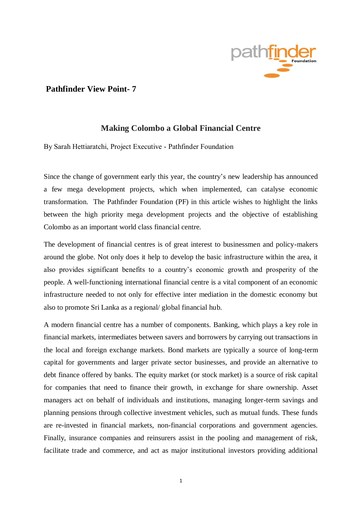

# **Pathfinder View Point- 7**

# **Making Colombo a Global Financial Centre**

By Sarah Hettiaratchi, Project Executive - Pathfinder Foundation

Since the change of government early this year, the country's new leadership has announced a few mega development projects, which when implemented, can catalyse economic transformation. The Pathfinder Foundation (PF) in this article wishes to highlight the links between the high priority mega development projects and the objective of establishing Colombo as an important world class financial centre.

The development of financial centres is of great interest to businessmen and policy-makers around the globe. Not only does it help to develop the basic infrastructure within the area, it also provides significant benefits to a country's economic growth and prosperity of the people. A well-functioning international financial centre is a vital component of an economic infrastructure needed to not only for effective inter mediation in the domestic economy but also to promote Sri Lanka as a regional/ global financial hub.

A modern financial centre has a number of components. Banking, which plays a key role in financial markets, intermediates between savers and borrowers by carrying out transactions in the local and foreign exchange markets. Bond markets are typically a source of long-term capital for governments and larger private sector businesses, and provide an alternative to debt finance offered by banks. The equity market (or stock market) is a source of risk capital for companies that need to finance their growth, in exchange for share ownership. Asset managers act on behalf of individuals and institutions, managing longer-term savings and planning pensions through collective investment vehicles, such as mutual funds. These funds are re-invested in financial markets, non-financial corporations and government agencies. Finally, insurance companies and reinsurers assist in the pooling and management of risk, facilitate trade and commerce, and act as major institutional investors providing additional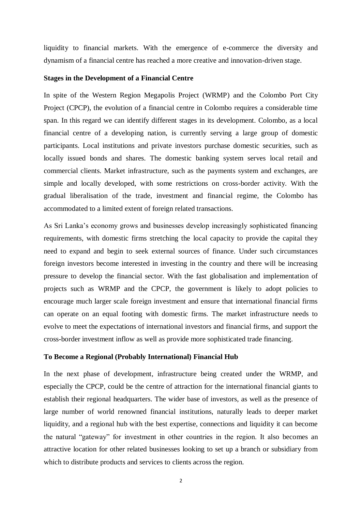liquidity to financial markets. With the emergence of e-commerce the diversity and dynamism of a financial centre has reached a more creative and innovation-driven stage.

#### **Stages in the Development of a Financial Centre**

In spite of the Western Region Megapolis Project (WRMP) and the Colombo Port City Project (CPCP), the evolution of a financial centre in Colombo requires a considerable time span. In this regard we can identify different stages in its development. Colombo, as a local financial centre of a developing nation, is currently serving a large group of domestic participants. Local institutions and private investors purchase domestic securities, such as locally issued bonds and shares. The domestic banking system serves local retail and commercial clients. Market infrastructure, such as the payments system and exchanges, are simple and locally developed, with some restrictions on cross-border activity. With the gradual liberalisation of the trade, investment and financial regime, the Colombo has accommodated to a limited extent of foreign related transactions.

As Sri Lanka's economy grows and businesses develop increasingly sophisticated financing requirements, with domestic firms stretching the local capacity to provide the capital they need to expand and begin to seek external sources of finance. Under such circumstances foreign investors become interested in investing in the country and there will be increasing pressure to develop the financial sector. With the fast globalisation and implementation of projects such as WRMP and the CPCP, the government is likely to adopt policies to encourage much larger scale foreign investment and ensure that international financial firms can operate on an equal footing with domestic firms. The market infrastructure needs to evolve to meet the expectations of international investors and financial firms, and support the cross-border investment inflow as well as provide more sophisticated trade financing.

#### **To Become a Regional (Probably International) Financial Hub**

In the next phase of development, infrastructure being created under the WRMP, and especially the CPCP, could be the centre of attraction for the international financial giants to establish their regional headquarters. The wider base of investors, as well as the presence of large number of world renowned financial institutions, naturally leads to deeper market liquidity, and a regional hub with the best expertise, connections and liquidity it can become the natural "gateway" for investment in other countries in the region. It also becomes an attractive location for other related businesses looking to set up a branch or subsidiary from which to distribute products and services to clients across the region.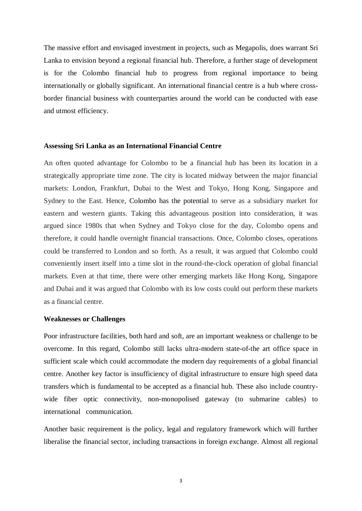The massive effort and envisaged investment in projects, such as Megapolis, does warrant Sri Lanka to envision beyond a regional financial hub. Therefore, a further stage of development is for the Colombo financial hub to progress from regional importance to being internationally or globally significant. An international financial centre is a hub where crossborder financial business with counterparties around the world can be conducted with ease and utmost efficiency.

#### **Assessing Sri Lanka as an International Financial Centre**

An often quoted advantage for Colombo to be a financial hub has been its location in a strategically appropriate time zone. The city is located midway between the major financial markets: London, Frankfurt, Dubai to the West and Tokyo, Hong Kong, Singapore and Sydney to the East. Hence, Colombo has the potential to serve as a subsidiary market for eastern and western giants. Taking this advantageous position into consideration, it was argued since 1980s that when Sydney and Tokyo close for the day, Colombo opens and therefore, it could handle overnight financial transactions. Once, Colombo closes, operations could be transferred to London and so forth. As a result, it was argued that Colombo could conveniently insert itself into a time slot in the round-the-clock operation of global financial markets. Even at that time, there were other emerging markets like Hong Kong, Singapore and Dubai and it was argued that Colombo with its low costs could out perform these markets as a financial centre.

## **Weaknesses or Challenges**

Poor infrastructure facilities, both hard and soft, are an important weakness or challenge to be overcome. In this regard, Colombo still lacks ultra-modern state-of-the art office space in sufficient scale which could accommodate the modern day requirements of a global financial centre. Another key factor is insufficiency of digital infrastructure to ensure high speed data transfers which is fundamental to be accepted as a financial hub. These also include countrywide fiber optic connectivity, non-monopolised gateway (to submarine cables) to international communication.

Another basic requirement is the policy, legal and regulatory framework which will further liberalise the financial sector, including transactions in foreign exchange. Almost all regional